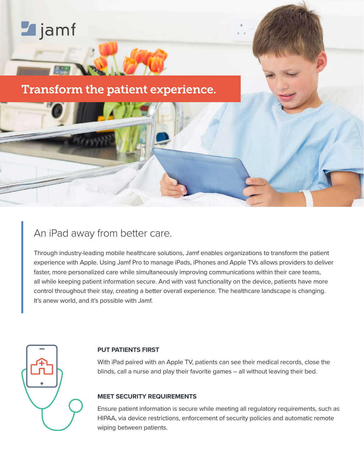# **Z**jamf

 $F$ 

Transform the patient experience.

# An iPad away from better care.

Through industry-leading mobile healthcare solutions, Jamf enables organizations to transform the patient experience with Apple. Using Jamf Pro to manage iPads, iPhones and Apple TVs allows providers to deliver faster, more personalized care while simultaneously improving communications within their care teams, all while keeping patient information secure. And with vast functionality on the device, patients have more control throughout their stay, creating a better overall experience. The healthcare landscape is changing. It's anew world, and it's possible with Jamf.



## **PUT PATIENTS FIRST**

With iPad paired with an Apple TV, patients can see their medical records, close the blinds, call a nurse and play their favorite games – all without leaving their bed.

## **MEET SECURITY REQUIREMENTS**

Ensure patient information is secure while meeting all regulatory requirements, such as HIPAA, via device restrictions, enforcement of security policies and automatic remote wiping between patients.